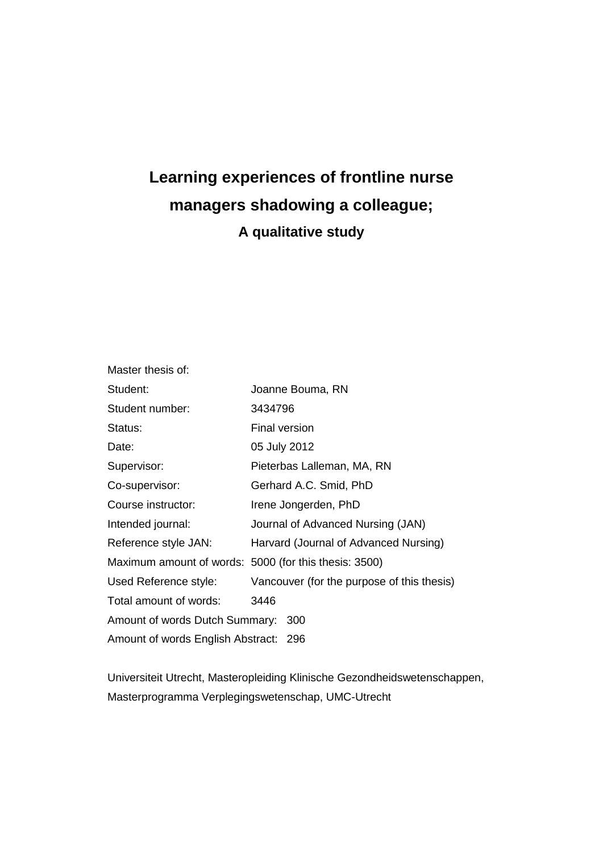# **Learning experiences of frontline nurse managers shadowing a colleague; A qualitative study**

| Master thesis of:                                     |                                            |  |  |
|-------------------------------------------------------|--------------------------------------------|--|--|
| Student:                                              | Joanne Bouma, RN                           |  |  |
| Student number:                                       | 3434796                                    |  |  |
| Status:                                               | <b>Final version</b>                       |  |  |
| Date:                                                 | 05 July 2012                               |  |  |
| Supervisor:                                           | Pieterbas Lalleman, MA, RN                 |  |  |
| Co-supervisor:                                        | Gerhard A.C. Smid, PhD                     |  |  |
| Course instructor:                                    | Irene Jongerden, PhD                       |  |  |
| Intended journal:                                     | Journal of Advanced Nursing (JAN)          |  |  |
| Reference style JAN:                                  | Harvard (Journal of Advanced Nursing)      |  |  |
| Maximum amount of words: 5000 (for this thesis: 3500) |                                            |  |  |
| Used Reference style:                                 | Vancouver (for the purpose of this thesis) |  |  |
| Total amount of words:                                | 3446                                       |  |  |
| Amount of words Dutch Summary: 300                    |                                            |  |  |
| Amount of words English Abstract: 296                 |                                            |  |  |

Universiteit Utrecht, Masteropleiding Klinische Gezondheidswetenschappen, Masterprogramma Verplegingswetenschap, UMC-Utrecht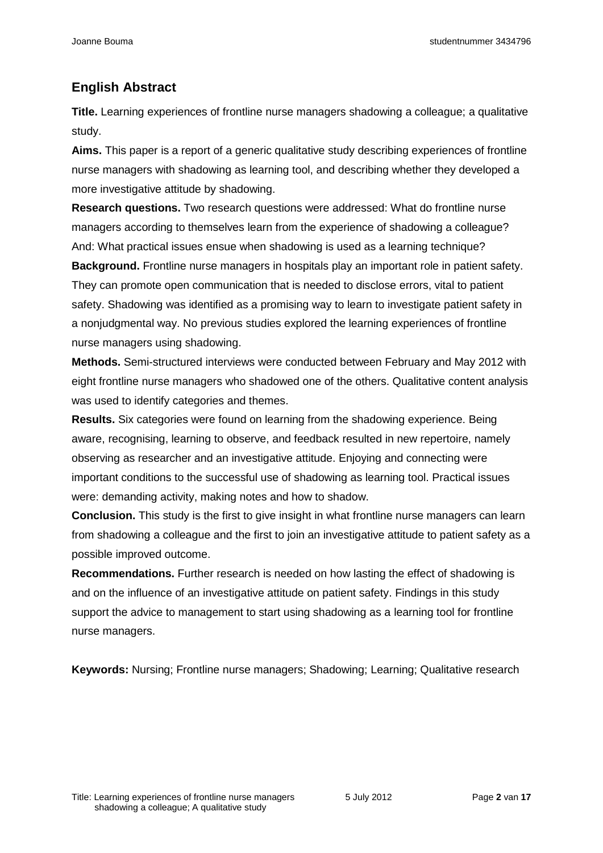# **English Abstract**

Title. Learning experiences of frontline nurse managers shadowing a colleague; a qualitative study.

**Aims.** This paper is a report of a generic qualitative study describing experiences of frontline nurse managers with shadowing as learning tool, and describing whether they developed a more investigative attitude by shadowing.

**Research questions.** Two research questions were addressed: What do frontline nurse managers according to themselves learn from the experience of shadowing a colleague? And: What practical issues ensue when shadowing is used as a learning technique? **Background.** Frontline nurse managers in hospitals play an important role in patient safety. They can promote open communication that is needed to disclose errors, vital to patient safety. Shadowing was identified as a promising way to learn to investigate patient safety in a nonjudgmental way. No previous studies explored the learning experiences of frontline nurse managers using shadowing.

**Methods.** Semi-structured interviews were conducted between February and May 2012 with eight frontline nurse managers who shadowed one of the others. Qualitative content analysis was used to identify categories and themes.

**Results.** Six categories were found on learning from the shadowing experience. Being aware, recognising, learning to observe, and feedback resulted in new repertoire, namely observing as researcher and an investigative attitude. Enjoying and connecting were important conditions to the successful use of shadowing as learning tool. Practical issues were: demanding activity, making notes and how to shadow.

**Conclusion.** This study is the first to give insight in what frontline nurse managers can learn from shadowing a colleague and the first to join an investigative attitude to patient safety as a possible improved outcome.

**Recommendations.** Further research is needed on how lasting the effect of shadowing is and on the influence of an investigative attitude on patient safety. Findings in this study support the advice to management to start using shadowing as a learning tool for frontline nurse managers.

**Keywords:** Nursing; Frontline nurse managers; Shadowing; Learning; Qualitative research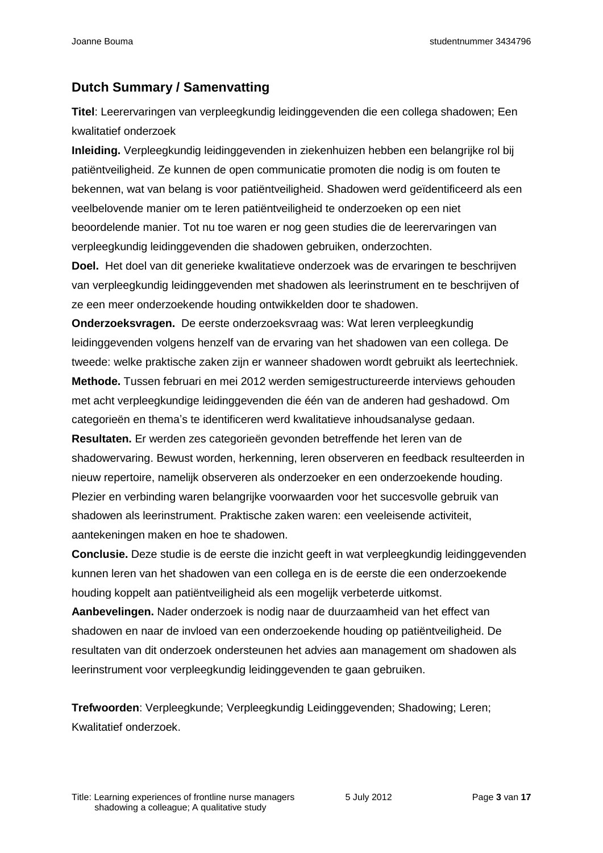# **Dutch Summary / Samenvatting**

**Titel**: Leerervaringen van verpleegkundig leidinggevenden die een collega shadowen; Een kwalitatief onderzoek

**Inleiding.** Verpleegkundig leidinggevenden in ziekenhuizen hebben een belangrijke rol bij patiëntveiligheid. Ze kunnen de open communicatie promoten die nodig is om fouten te bekennen, wat van belang is voor patiëntveiligheid. Shadowen werd geïdentificeerd als een veelbelovende manier om te leren patiëntveiligheid te onderzoeken op een niet beoordelende manier. Tot nu toe waren er nog geen studies die de leerervaringen van verpleegkundig leidinggevenden die shadowen gebruiken, onderzochten.

**Doel.** Het doel van dit generieke kwalitatieve onderzoek was de ervaringen te beschrijven van verpleegkundig leidinggevenden met shadowen als leerinstrument en te beschrijven of ze een meer onderzoekende houding ontwikkelden door te shadowen.

**Onderzoeksvragen.** De eerste onderzoeksvraag was: Wat leren verpleegkundig leidinggevenden volgens henzelf van de ervaring van het shadowen van een collega. De tweede: welke praktische zaken zijn er wanneer shadowen wordt gebruikt als leertechniek. **Methode.** Tussen februari en mei 2012 werden semigestructureerde interviews gehouden met acht verpleegkundige leidinggevenden die één van de anderen had geshadowd. Om categorieën en thema's te identificeren werd kwalitatieve inhoudsanalyse gedaan.

**Resultaten.** Er werden zes categorieën gevonden betreffende het leren van de shadowervaring. Bewust worden, herkenning, leren observeren en feedback resulteerden in nieuw repertoire, namelijk observeren als onderzoeker en een onderzoekende houding. Plezier en verbinding waren belangrijke voorwaarden voor het succesvolle gebruik van shadowen als leerinstrument. Praktische zaken waren: een veeleisende activiteit, aantekeningen maken en hoe te shadowen.

**Conclusie.** Deze studie is de eerste die inzicht geeft in wat verpleegkundig leidinggevenden kunnen leren van het shadowen van een collega en is de eerste die een onderzoekende houding koppelt aan patiëntveiligheid als een mogelijk verbeterde uitkomst.

**Aanbevelingen.** Nader onderzoek is nodig naar de duurzaamheid van het effect van shadowen en naar de invloed van een onderzoekende houding op patiëntveiligheid. De resultaten van dit onderzoek ondersteunen het advies aan management om shadowen als leerinstrument voor verpleegkundig leidinggevenden te gaan gebruiken.

**Trefwoorden**: Verpleegkunde; Verpleegkundig Leidinggevenden; Shadowing; Leren; Kwalitatief onderzoek.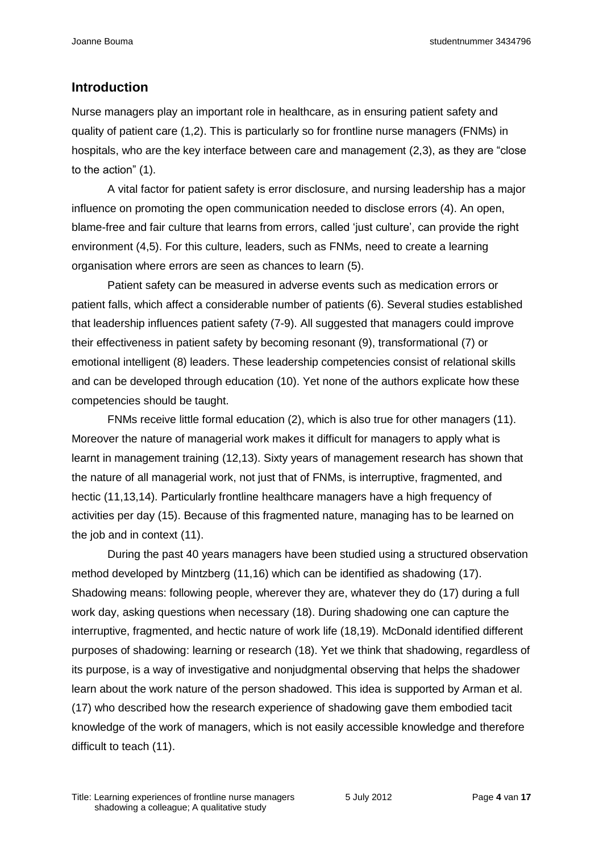# **Introduction**

Nurse managers play an important role in healthcare, as in ensuring patient safety and quality of patient care (1,2). This is particularly so for frontline nurse managers (FNMs) in hospitals, who are the key interface between care and management (2,3), as they are "close to the action" (1).

A vital factor for patient safety is error disclosure, and nursing leadership has a major influence on promoting the open communication needed to disclose errors (4). An open, blame-free and fair culture that learns from errors, called 'just culture', can provide the right environment (4,5). For this culture, leaders, such as FNMs, need to create a learning organisation where errors are seen as chances to learn (5).

Patient safety can be measured in adverse events such as medication errors or patient falls, which affect a considerable number of patients (6). Several studies established that leadership influences patient safety (7-9). All suggested that managers could improve their effectiveness in patient safety by becoming resonant (9), transformational (7) or emotional intelligent (8) leaders. These leadership competencies consist of relational skills and can be developed through education (10). Yet none of the authors explicate how these competencies should be taught.

FNMs receive little formal education (2), which is also true for other managers (11). Moreover the nature of managerial work makes it difficult for managers to apply what is learnt in management training (12,13). Sixty years of management research has shown that the nature of all managerial work, not just that of FNMs, is interruptive, fragmented, and hectic (11,13,14). Particularly frontline healthcare managers have a high frequency of activities per day (15). Because of this fragmented nature, managing has to be learned on the job and in context (11).

During the past 40 years managers have been studied using a structured observation method developed by Mintzberg (11,16) which can be identified as shadowing (17). Shadowing means: following people, wherever they are, whatever they do (17) during a full work day, asking questions when necessary (18). During shadowing one can capture the interruptive, fragmented, and hectic nature of work life (18,19). McDonald identified different purposes of shadowing: learning or research (18). Yet we think that shadowing, regardless of its purpose, is a way of investigative and nonjudgmental observing that helps the shadower learn about the work nature of the person shadowed. This idea is supported by Arman et al. (17) who described how the research experience of shadowing gave them embodied tacit knowledge of the work of managers, which is not easily accessible knowledge and therefore difficult to teach (11).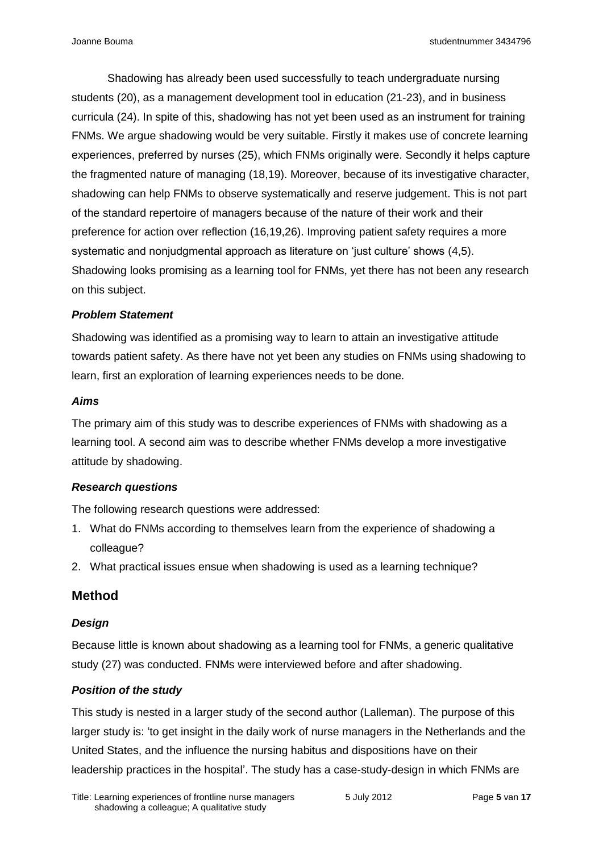Shadowing has already been used successfully to teach undergraduate nursing students (20), as a management development tool in education (21-23), and in business curricula (24). In spite of this, shadowing has not yet been used as an instrument for training FNMs. We argue shadowing would be very suitable. Firstly it makes use of concrete learning experiences, preferred by nurses (25), which FNMs originally were. Secondly it helps capture the fragmented nature of managing (18,19). Moreover, because of its investigative character, shadowing can help FNMs to observe systematically and reserve judgement. This is not part of the standard repertoire of managers because of the nature of their work and their preference for action over reflection (16,19,26). Improving patient safety requires a more systematic and nonjudgmental approach as literature on 'just culture' shows (4,5). Shadowing looks promising as a learning tool for FNMs, yet there has not been any research on this subject.

#### *Problem Statement*

Shadowing was identified as a promising way to learn to attain an investigative attitude towards patient safety. As there have not yet been any studies on FNMs using shadowing to learn, first an exploration of learning experiences needs to be done.

#### *Aims*

The primary aim of this study was to describe experiences of FNMs with shadowing as a learning tool. A second aim was to describe whether FNMs develop a more investigative attitude by shadowing.

#### *Research questions*

The following research questions were addressed:

- 1. What do FNMs according to themselves learn from the experience of shadowing a colleague?
- 2. What practical issues ensue when shadowing is used as a learning technique?

# **Method**

#### *Design*

Because little is known about shadowing as a learning tool for FNMs, a generic qualitative study (27) was conducted. FNMs were interviewed before and after shadowing.

#### *Position of the study*

This study is nested in a larger study of the second author (Lalleman). The purpose of this larger study is: 'to get insight in the daily work of nurse managers in the Netherlands and the United States, and the influence the nursing habitus and dispositions have on their leadership practices in the hospital'. The study has a case-study-design in which FNMs are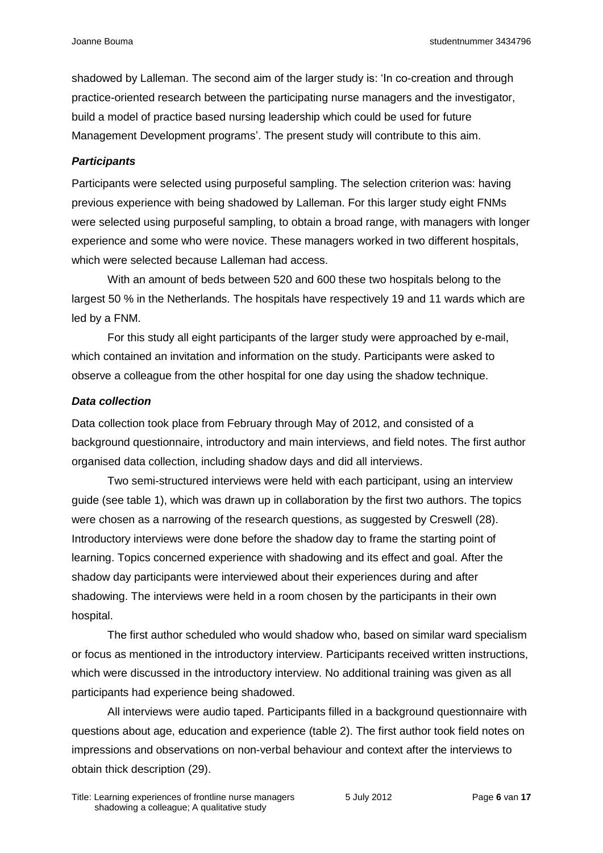shadowed by Lalleman. The second aim of the larger study is: 'In co-creation and through practice-oriented research between the participating nurse managers and the investigator, build a model of practice based nursing leadership which could be used for future Management Development programs'. The present study will contribute to this aim.

#### *Participants*

Participants were selected using purposeful sampling. The selection criterion was: having previous experience with being shadowed by Lalleman. For this larger study eight FNMs were selected using purposeful sampling, to obtain a broad range, with managers with longer experience and some who were novice. These managers worked in two different hospitals, which were selected because Lalleman had access.

With an amount of beds between 520 and 600 these two hospitals belong to the largest 50 % in the Netherlands. The hospitals have respectively 19 and 11 wards which are led by a FNM.

For this study all eight participants of the larger study were approached by e-mail, which contained an invitation and information on the study. Participants were asked to observe a colleague from the other hospital for one day using the shadow technique.

#### *Data collection*

Data collection took place from February through May of 2012, and consisted of a background questionnaire, introductory and main interviews, and field notes. The first author organised data collection, including shadow days and did all interviews.

Two semi-structured interviews were held with each participant, using an interview guide (see table 1), which was drawn up in collaboration by the first two authors. The topics were chosen as a narrowing of the research questions, as suggested by Creswell (28). Introductory interviews were done before the shadow day to frame the starting point of learning. Topics concerned experience with shadowing and its effect and goal. After the shadow day participants were interviewed about their experiences during and after shadowing. The interviews were held in a room chosen by the participants in their own hospital.

The first author scheduled who would shadow who, based on similar ward specialism or focus as mentioned in the introductory interview. Participants received written instructions, which were discussed in the introductory interview. No additional training was given as all participants had experience being shadowed.

All interviews were audio taped. Participants filled in a background questionnaire with questions about age, education and experience (table 2). The first author took field notes on impressions and observations on non-verbal behaviour and context after the interviews to obtain thick description (29).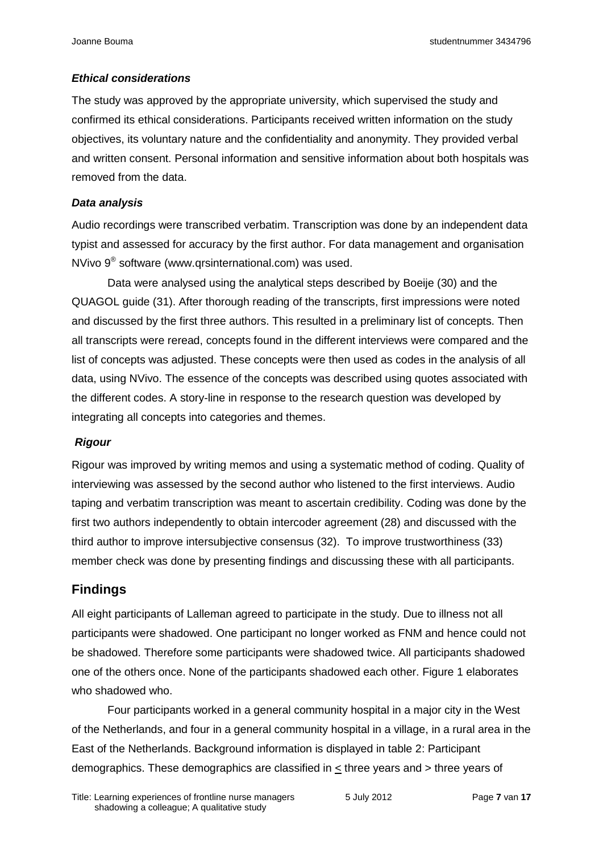# *Ethical considerations*

The study was approved by the appropriate university, which supervised the study and confirmed its ethical considerations. Participants received written information on the study objectives, its voluntary nature and the confidentiality and anonymity. They provided verbal and written consent. Personal information and sensitive information about both hospitals was removed from the data.

# *Data analysis*

Audio recordings were transcribed verbatim. Transcription was done by an independent data typist and assessed for accuracy by the first author. For data management and organisation NVivo 9<sup>®</sup> software (www.qrsinternational.com) was used.

Data were analysed using the analytical steps described by Boeije (30) and the QUAGOL guide (31). After thorough reading of the transcripts, first impressions were noted and discussed by the first three authors. This resulted in a preliminary list of concepts. Then all transcripts were reread, concepts found in the different interviews were compared and the list of concepts was adjusted. These concepts were then used as codes in the analysis of all data, using NVivo. The essence of the concepts was described using quotes associated with the different codes. A story-line in response to the research question was developed by integrating all concepts into categories and themes.

# *Rigour*

Rigour was improved by writing memos and using a systematic method of coding. Quality of interviewing was assessed by the second author who listened to the first interviews. Audio taping and verbatim transcription was meant to ascertain credibility. Coding was done by the first two authors independently to obtain intercoder agreement (28) and discussed with the third author to improve intersubjective consensus (32). To improve trustworthiness (33) member check was done by presenting findings and discussing these with all participants.

# **Findings**

All eight participants of Lalleman agreed to participate in the study. Due to illness not all participants were shadowed. One participant no longer worked as FNM and hence could not be shadowed. Therefore some participants were shadowed twice. All participants shadowed one of the others once. None of the participants shadowed each other. Figure 1 elaborates who shadowed who.

Four participants worked in a general community hospital in a major city in the West of the Netherlands, and four in a general community hospital in a village, in a rural area in the East of the Netherlands. Background information is displayed in table 2: Participant demographics. These demographics are classified in < three years and > three years of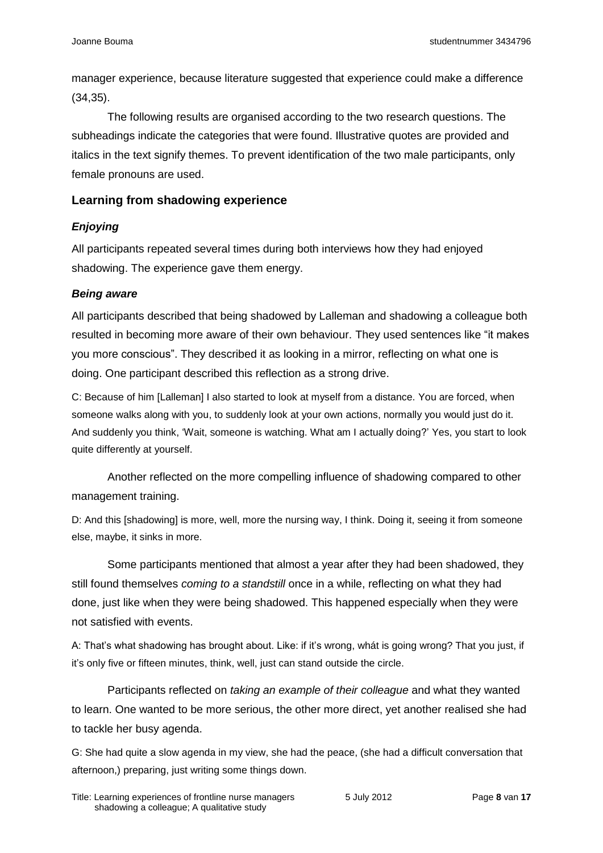manager experience, because literature suggested that experience could make a difference (34,35).

The following results are organised according to the two research questions. The subheadings indicate the categories that were found. Illustrative quotes are provided and italics in the text signify themes. To prevent identification of the two male participants, only female pronouns are used.

#### **Learning from shadowing experience**

#### *Enjoying*

All participants repeated several times during both interviews how they had enjoyed shadowing. The experience gave them energy.

#### *Being aware*

All participants described that being shadowed by Lalleman and shadowing a colleague both resulted in becoming more aware of their own behaviour. They used sentences like "it makes you more conscious". They described it as looking in a mirror, reflecting on what one is doing. One participant described this reflection as a strong drive.

C: Because of him [Lalleman] I also started to look at myself from a distance. You are forced, when someone walks along with you, to suddenly look at your own actions, normally you would just do it. And suddenly you think, 'Wait, someone is watching. What am I actually doing?' Yes, you start to look quite differently at yourself.

Another reflected on the more compelling influence of shadowing compared to other management training.

D: And this [shadowing] is more, well, more the nursing way, I think. Doing it, seeing it from someone else, maybe, it sinks in more.

Some participants mentioned that almost a year after they had been shadowed, they still found themselves *coming to a standstill* once in a while, reflecting on what they had done, just like when they were being shadowed. This happened especially when they were not satisfied with events.

A: That's what shadowing has brought about. Like: if it's wrong, whát is going wrong? That you just, if it's only five or fifteen minutes, think, well, just can stand outside the circle.

Participants reflected on *taking an example of their colleague* and what they wanted to learn. One wanted to be more serious, the other more direct, yet another realised she had to tackle her busy agenda.

G: She had quite a slow agenda in my view, she had the peace, (she had a difficult conversation that afternoon,) preparing, just writing some things down.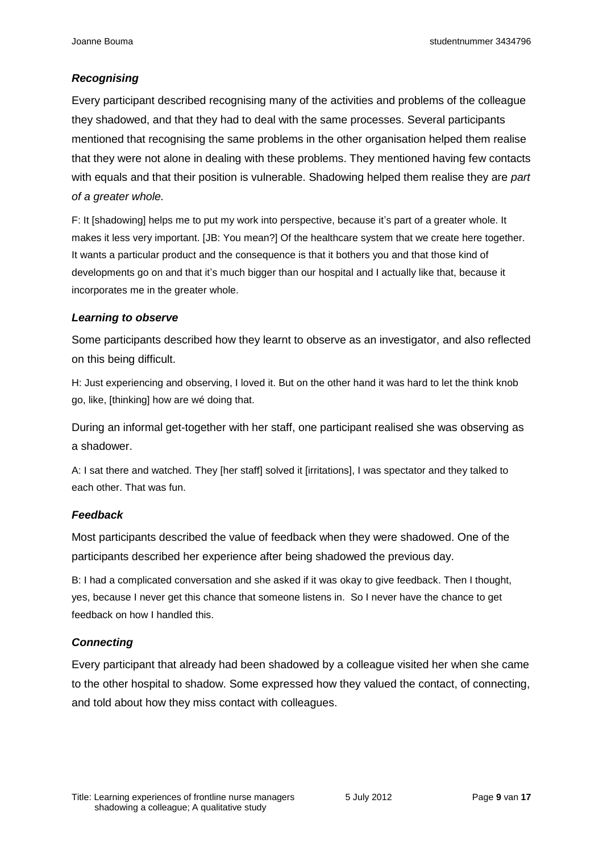# *Recognising*

Every participant described recognising many of the activities and problems of the colleague they shadowed, and that they had to deal with the same processes. Several participants mentioned that recognising the same problems in the other organisation helped them realise that they were not alone in dealing with these problems. They mentioned having few contacts with equals and that their position is vulnerable. Shadowing helped them realise they are *part of a greater whole.*

F: It [shadowing] helps me to put my work into perspective, because it's part of a greater whole. It makes it less very important. [JB: You mean?] Of the healthcare system that we create here together. It wants a particular product and the consequence is that it bothers you and that those kind of developments go on and that it's much bigger than our hospital and I actually like that, because it incorporates me in the greater whole.

#### *Learning to observe*

Some participants described how they learnt to observe as an investigator, and also reflected on this being difficult.

H: Just experiencing and observing, I loved it. But on the other hand it was hard to let the think knob go, like, [thinking] how are wé doing that.

During an informal get-together with her staff, one participant realised she was observing as a shadower.

A: I sat there and watched. They [her staff] solved it [irritations], I was spectator and they talked to each other. That was fun.

# *Feedback*

Most participants described the value of feedback when they were shadowed. One of the participants described her experience after being shadowed the previous day.

B: I had a complicated conversation and she asked if it was okay to give feedback. Then I thought, yes, because I never get this chance that someone listens in. So I never have the chance to get feedback on how I handled this.

# *Connecting*

Every participant that already had been shadowed by a colleague visited her when she came to the other hospital to shadow. Some expressed how they valued the contact, of connecting, and told about how they miss contact with colleagues.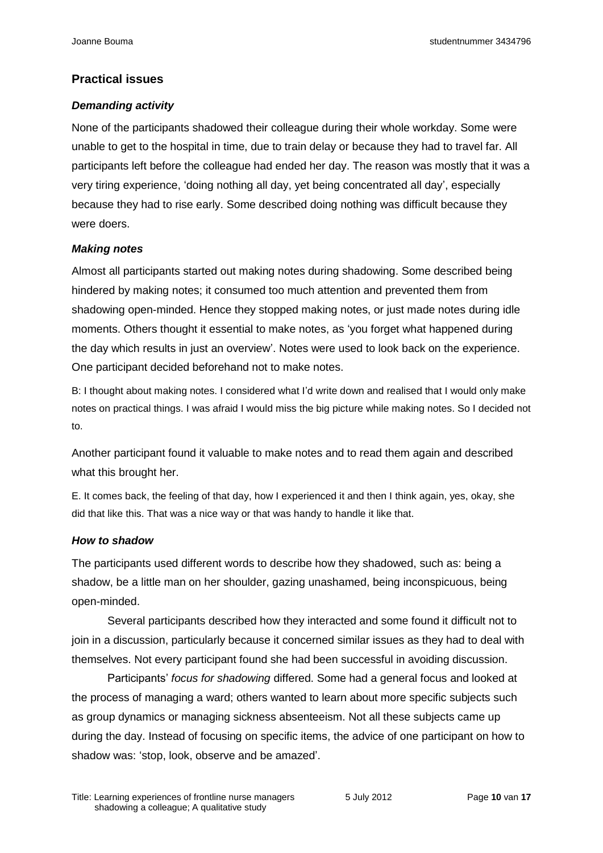#### **Practical issues**

#### *Demanding activity*

None of the participants shadowed their colleague during their whole workday. Some were unable to get to the hospital in time, due to train delay or because they had to travel far. All participants left before the colleague had ended her day. The reason was mostly that it was a very tiring experience, 'doing nothing all day, yet being concentrated all day', especially because they had to rise early. Some described doing nothing was difficult because they were doers.

#### *Making notes*

Almost all participants started out making notes during shadowing. Some described being hindered by making notes; it consumed too much attention and prevented them from shadowing open-minded. Hence they stopped making notes, or just made notes during idle moments. Others thought it essential to make notes, as 'you forget what happened during the day which results in just an overview'. Notes were used to look back on the experience. One participant decided beforehand not to make notes.

B: I thought about making notes. I considered what I'd write down and realised that I would only make notes on practical things. I was afraid I would miss the big picture while making notes. So I decided not to.

Another participant found it valuable to make notes and to read them again and described what this brought her.

E. It comes back, the feeling of that day, how I experienced it and then I think again, yes, okay, she did that like this. That was a nice way or that was handy to handle it like that.

#### *How to shadow*

The participants used different words to describe how they shadowed, such as: being a shadow, be a little man on her shoulder, gazing unashamed, being inconspicuous, being open-minded.

Several participants described how they interacted and some found it difficult not to join in a discussion, particularly because it concerned similar issues as they had to deal with themselves. Not every participant found she had been successful in avoiding discussion.

Participants' *focus for shadowing* differed. Some had a general focus and looked at the process of managing a ward; others wanted to learn about more specific subjects such as group dynamics or managing sickness absenteeism. Not all these subjects came up during the day. Instead of focusing on specific items, the advice of one participant on how to shadow was: 'stop, look, observe and be amazed'.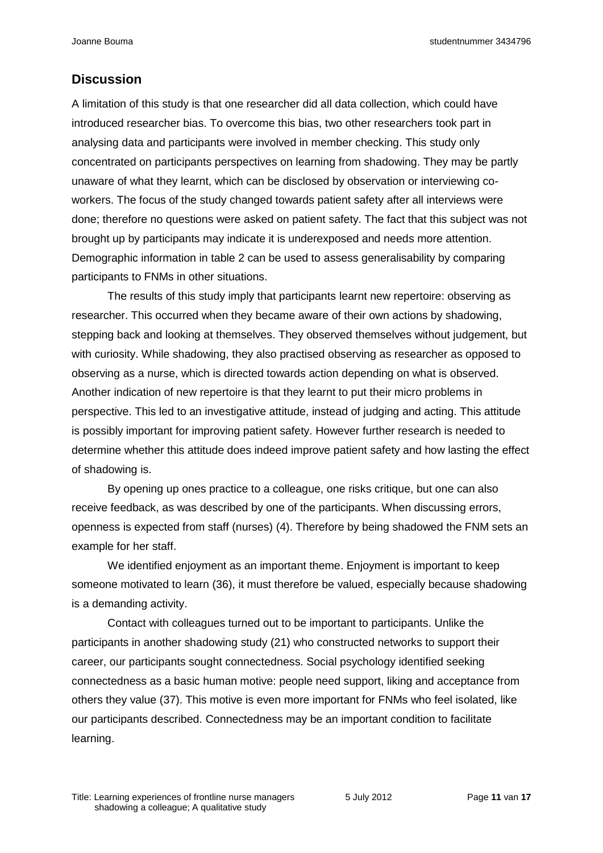# **Discussion**

A limitation of this study is that one researcher did all data collection, which could have introduced researcher bias. To overcome this bias, two other researchers took part in analysing data and participants were involved in member checking. This study only concentrated on participants perspectives on learning from shadowing. They may be partly unaware of what they learnt, which can be disclosed by observation or interviewing coworkers. The focus of the study changed towards patient safety after all interviews were done; therefore no questions were asked on patient safety. The fact that this subject was not brought up by participants may indicate it is underexposed and needs more attention. Demographic information in table 2 can be used to assess generalisability by comparing participants to FNMs in other situations.

The results of this study imply that participants learnt new repertoire: observing as researcher. This occurred when they became aware of their own actions by shadowing, stepping back and looking at themselves. They observed themselves without judgement, but with curiosity. While shadowing, they also practised observing as researcher as opposed to observing as a nurse, which is directed towards action depending on what is observed. Another indication of new repertoire is that they learnt to put their micro problems in perspective. This led to an investigative attitude, instead of judging and acting. This attitude is possibly important for improving patient safety. However further research is needed to determine whether this attitude does indeed improve patient safety and how lasting the effect of shadowing is.

By opening up ones practice to a colleague, one risks critique, but one can also receive feedback, as was described by one of the participants. When discussing errors, openness is expected from staff (nurses) (4). Therefore by being shadowed the FNM sets an example for her staff.

We identified enjoyment as an important theme. Enjoyment is important to keep someone motivated to learn (36), it must therefore be valued, especially because shadowing is a demanding activity.

Contact with colleagues turned out to be important to participants. Unlike the participants in another shadowing study (21) who constructed networks to support their career, our participants sought connectedness. Social psychology identified seeking connectedness as a basic human motive: people need support, liking and acceptance from others they value (37). This motive is even more important for FNMs who feel isolated, like our participants described. Connectedness may be an important condition to facilitate learning.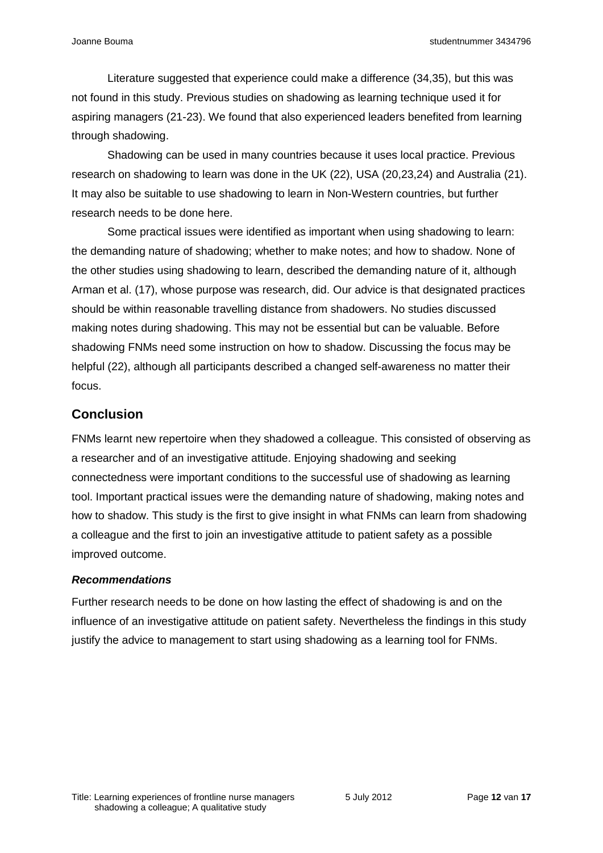Literature suggested that experience could make a difference (34,35), but this was not found in this study. Previous studies on shadowing as learning technique used it for aspiring managers (21-23). We found that also experienced leaders benefited from learning through shadowing.

Shadowing can be used in many countries because it uses local practice. Previous research on shadowing to learn was done in the UK (22), USA (20,23,24) and Australia (21). It may also be suitable to use shadowing to learn in Non-Western countries, but further research needs to be done here.

Some practical issues were identified as important when using shadowing to learn: the demanding nature of shadowing; whether to make notes; and how to shadow. None of the other studies using shadowing to learn, described the demanding nature of it, although Arman et al. (17), whose purpose was research, did. Our advice is that designated practices should be within reasonable travelling distance from shadowers. No studies discussed making notes during shadowing. This may not be essential but can be valuable. Before shadowing FNMs need some instruction on how to shadow. Discussing the focus may be helpful (22), although all participants described a changed self-awareness no matter their focus.

# **Conclusion**

FNMs learnt new repertoire when they shadowed a colleague. This consisted of observing as a researcher and of an investigative attitude. Enjoying shadowing and seeking connectedness were important conditions to the successful use of shadowing as learning tool. Important practical issues were the demanding nature of shadowing, making notes and how to shadow. This study is the first to give insight in what FNMs can learn from shadowing a colleague and the first to join an investigative attitude to patient safety as a possible improved outcome.

# *Recommendations*

Further research needs to be done on how lasting the effect of shadowing is and on the influence of an investigative attitude on patient safety. Nevertheless the findings in this study justify the advice to management to start using shadowing as a learning tool for FNMs.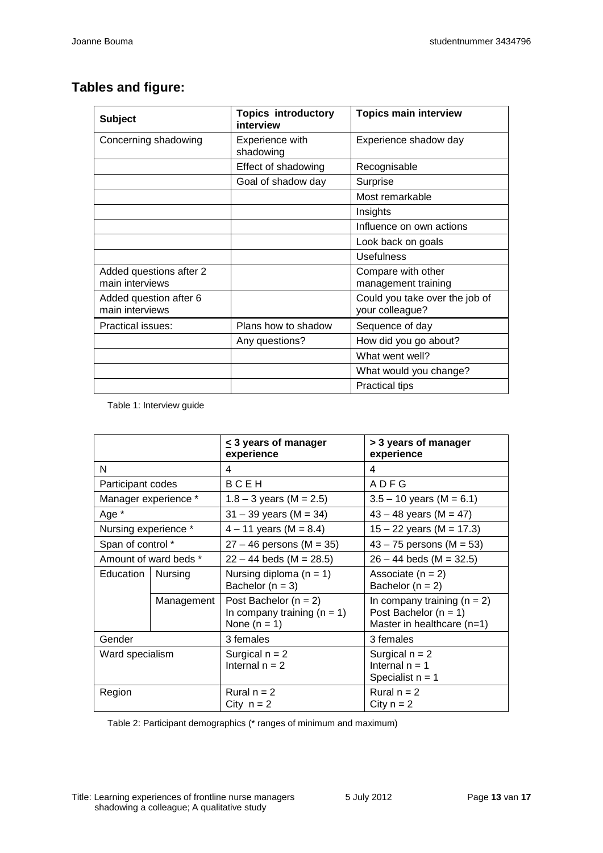# **Tables and figure:**

| <b>Subject</b>                             | <b>Topics introductory</b><br>interview | <b>Topics main interview</b>                      |
|--------------------------------------------|-----------------------------------------|---------------------------------------------------|
| Concerning shadowing                       | <b>Experience with</b><br>shadowing     | Experience shadow day                             |
|                                            | Effect of shadowing                     | Recognisable                                      |
|                                            | Goal of shadow day                      | Surprise                                          |
|                                            |                                         | Most remarkable                                   |
|                                            |                                         | Insights                                          |
|                                            |                                         | Influence on own actions                          |
|                                            |                                         | Look back on goals                                |
|                                            |                                         | <b>Usefulness</b>                                 |
| Added questions after 2<br>main interviews |                                         | Compare with other<br>management training         |
| Added question after 6<br>main interviews  |                                         | Could you take over the job of<br>your colleague? |
| Practical issues:                          | Plans how to shadow                     | Sequence of day                                   |
|                                            | Any questions?                          | How did you go about?                             |
|                                            |                                         | What went well?                                   |
|                                            |                                         | What would you change?                            |
|                                            |                                         | <b>Practical tips</b>                             |

Table 1: Interview guide

|                       |            | $\leq$ 3 years of manager<br>experience                                      | > 3 years of manager<br>experience                                                         |
|-----------------------|------------|------------------------------------------------------------------------------|--------------------------------------------------------------------------------------------|
| N                     |            | 4                                                                            | 4                                                                                          |
| Participant codes     |            | <b>BCEH</b>                                                                  | <b>ADFG</b>                                                                                |
| Manager experience *  |            | $1.8 - 3$ years (M = 2.5)                                                    | $3.5 - 10$ years (M = 6.1)                                                                 |
| Age *                 |            | $31 - 39$ years (M = 34)                                                     | $43 - 48$ years (M = 47)                                                                   |
| Nursing experience *  |            | $4 - 11$ years (M = 8.4)                                                     | $15 - 22$ years (M = 17.3)                                                                 |
| Span of control *     |            | $27 - 46$ persons (M = 35)                                                   | $43 - 75$ persons (M = 53)                                                                 |
| Amount of ward beds * |            | $22 - 44$ beds (M = 28.5)                                                    | $26 - 44$ beds (M = 32.5)                                                                  |
| Education             | Nursing    | Nursing diploma $(n = 1)$<br>Bachelor $(n = 3)$                              | Associate $(n = 2)$<br>Bachelor $(n = 2)$                                                  |
|                       | Management | Post Bachelor ( $n = 2$ )<br>In company training $(n = 1)$<br>None $(n = 1)$ | In company training $(n = 2)$<br>Post Bachelor ( $n = 1$ )<br>Master in healthcare $(n=1)$ |
| Gender                |            | 3 females                                                                    | 3 females                                                                                  |
| Ward specialism       |            | Surgical $n = 2$<br>Internal $n = 2$                                         | Surgical $n = 2$<br>Internal $n = 1$<br>Specialist $n = 1$                                 |
| Region                |            | Rural $n = 2$<br>City $n = 2$                                                | Rural $n = 2$<br>City $n = 2$                                                              |

Table 2: Participant demographics (\* ranges of minimum and maximum)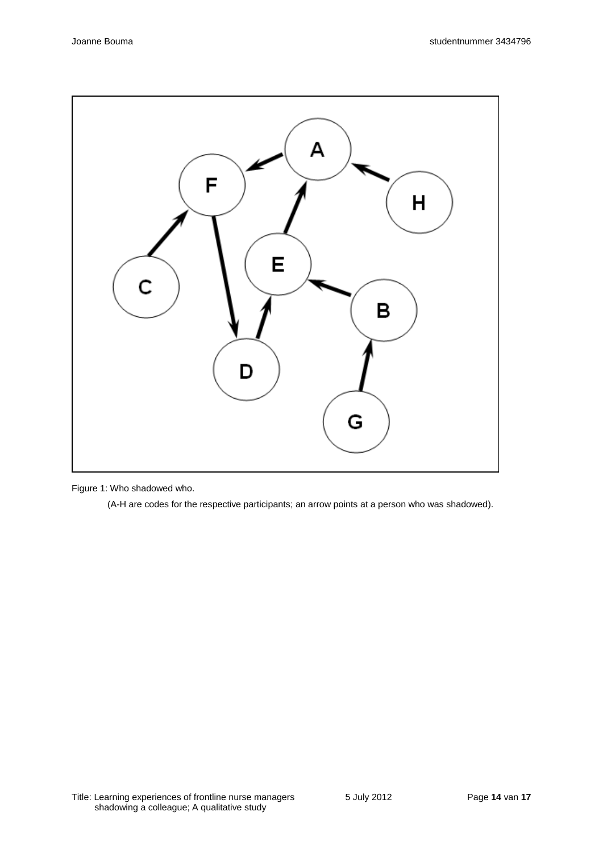

Figure 1: Who shadowed who.

(A-H are codes for the respective participants; an arrow points at a person who was shadowed).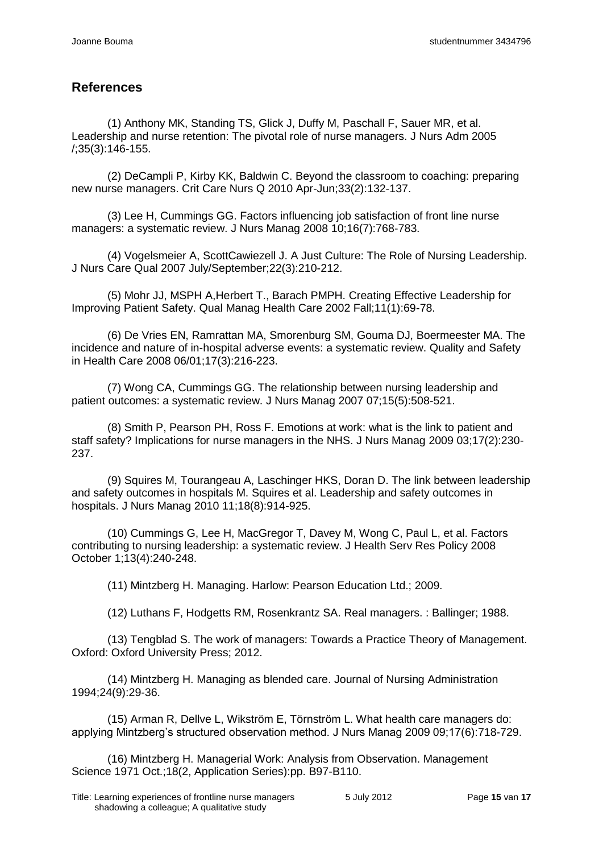# **References**

(1) Anthony MK, Standing TS, Glick J, Duffy M, Paschall F, Sauer MR, et al. Leadership and nurse retention: The pivotal role of nurse managers. J Nurs Adm 2005 /;35(3):146-155.

(2) DeCampli P, Kirby KK, Baldwin C. Beyond the classroom to coaching: preparing new nurse managers. Crit Care Nurs Q 2010 Apr-Jun;33(2):132-137.

(3) Lee H, Cummings GG. Factors influencing job satisfaction of front line nurse managers: a systematic review. J Nurs Manag 2008 10;16(7):768-783.

(4) Vogelsmeier A, ScottCawiezell J. A Just Culture: The Role of Nursing Leadership. J Nurs Care Qual 2007 July/September;22(3):210-212.

(5) Mohr JJ, MSPH A,Herbert T., Barach PMPH. Creating Effective Leadership for Improving Patient Safety. Qual Manag Health Care 2002 Fall;11(1):69-78.

(6) De Vries EN, Ramrattan MA, Smorenburg SM, Gouma DJ, Boermeester MA. The incidence and nature of in-hospital adverse events: a systematic review. Quality and Safety in Health Care 2008 06/01;17(3):216-223.

(7) Wong CA, Cummings GG. The relationship between nursing leadership and patient outcomes: a systematic review. J Nurs Manag 2007 07;15(5):508-521.

(8) Smith P, Pearson PH, Ross F. Emotions at work: what is the link to patient and staff safety? Implications for nurse managers in the NHS. J Nurs Manag 2009 03;17(2):230- 237.

(9) Squires M, Tourangeau A, Laschinger HKS, Doran D. The link between leadership and safety outcomes in hospitals M. Squires et al. Leadership and safety outcomes in hospitals. J Nurs Manag 2010 11;18(8):914-925.

(10) Cummings G, Lee H, MacGregor T, Davey M, Wong C, Paul L, et al. Factors contributing to nursing leadership: a systematic review. J Health Serv Res Policy 2008 October 1;13(4):240-248.

(11) Mintzberg H. Managing. Harlow: Pearson Education Ltd.; 2009.

(12) Luthans F, Hodgetts RM, Rosenkrantz SA. Real managers. : Ballinger; 1988.

(13) Tengblad S. The work of managers: Towards a Practice Theory of Management. Oxford: Oxford University Press; 2012.

(14) Mintzberg H. Managing as blended care. Journal of Nursing Administration 1994;24(9):29-36.

(15) Arman R, Dellve L, Wikström E, Törnström L. What health care managers do: applying Mintzberg's structured observation method. J Nurs Manag 2009 09;17(6):718-729.

(16) Mintzberg H. Managerial Work: Analysis from Observation. Management Science 1971 Oct.;18(2, Application Series):pp. B97-B110.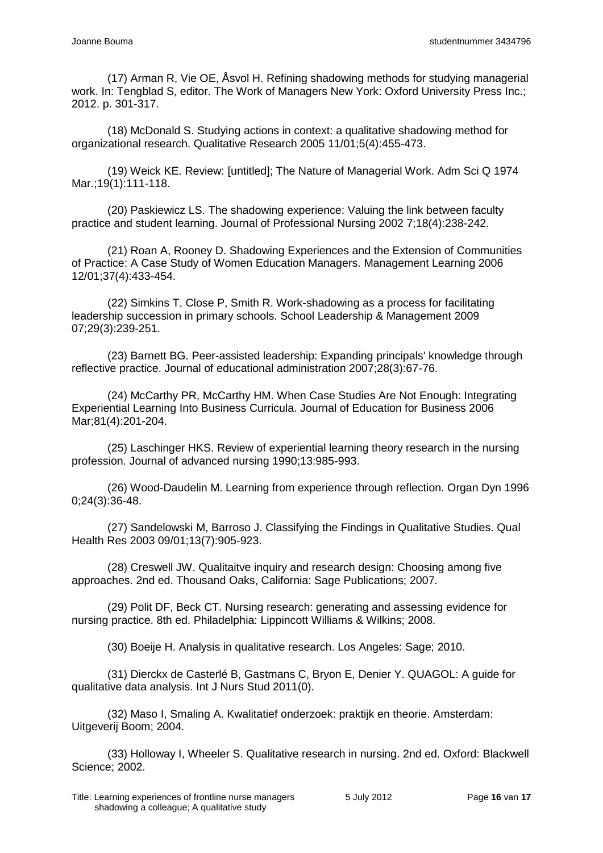(17) Arman R, Vie OE, Åsvol H. Refining shadowing methods for studying managerial work. In: Tengblad S, editor. The Work of Managers New York: Oxford University Press Inc.; 2012. p. 301-317.

(18) McDonald S. Studying actions in context: a qualitative shadowing method for organizational research. Qualitative Research 2005 11/01;5(4):455-473.

(19) Weick KE. Review: [untitled]; The Nature of Managerial Work. Adm Sci Q 1974 Mar.; 19(1): 111-118.

(20) Paskiewicz LS. The shadowing experience: Valuing the link between faculty practice and student learning. Journal of Professional Nursing 2002 7;18(4):238-242.

(21) Roan A, Rooney D. Shadowing Experiences and the Extension of Communities of Practice: A Case Study of Women Education Managers. Management Learning 2006 12/01;37(4):433-454.

(22) Simkins T, Close P, Smith R. Work-shadowing as a process for facilitating leadership succession in primary schools. School Leadership & Management 2009 07;29(3):239-251.

(23) Barnett BG. Peer-assisted leadership: Expanding principals' knowledge through reflective practice. Journal of educational administration 2007;28(3):67-76.

(24) McCarthy PR, McCarthy HM. When Case Studies Are Not Enough: Integrating Experiential Learning Into Business Curricula. Journal of Education for Business 2006 Mar;81(4):201-204.

(25) Laschinger HKS. Review of experiential learning theory research in the nursing profession. Journal of advanced nursing 1990;13:985-993.

(26) Wood-Daudelin M. Learning from experience through reflection. Organ Dyn 1996 0;24(3):36-48.

(27) Sandelowski M, Barroso J. Classifying the Findings in Qualitative Studies. Qual Health Res 2003 09/01;13(7):905-923.

(28) Creswell JW. Qualitaitve inquiry and research design: Choosing among five approaches. 2nd ed. Thousand Oaks, California: Sage Publications; 2007.

(29) Polit DF, Beck CT. Nursing research: generating and assessing evidence for nursing practice. 8th ed. Philadelphia: Lippincott Williams & Wilkins; 2008.

(30) Boeije H. Analysis in qualitative research. Los Angeles: Sage; 2010.

(31) Dierckx de Casterlé B, Gastmans C, Bryon E, Denier Y. QUAGOL: A guide for qualitative data analysis. Int J Nurs Stud 2011(0).

(32) Maso I, Smaling A. Kwalitatief onderzoek: praktijk en theorie. Amsterdam: Uitgeverij Boom; 2004.

(33) Holloway I, Wheeler S. Qualitative research in nursing. 2nd ed. Oxford: Blackwell Science; 2002.